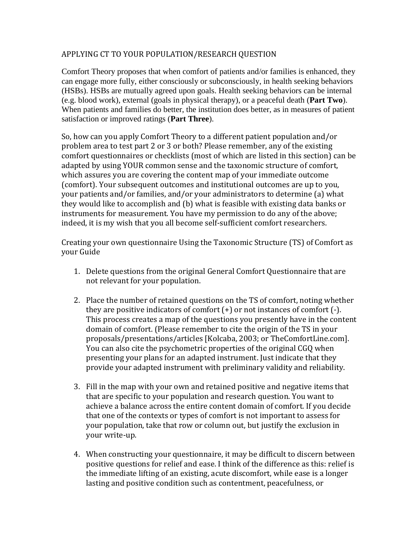## APPLYING CT TO YOUR POPULATION/RESEARCH QUESTION

Comfort Theory proposes that when comfort of patients and/or families is enhanced, they can engage more fully, either consciously or subconsciously, in health seeking behaviors (HSBs). HSBs are mutually agreed upon goals. Health seeking behaviors can be internal (e.g. blood work), external (goals in physical therapy), or a peaceful death (**Part Two**). When patients and families do better, the institution does better, as in measures of patient satisfaction or improved ratings (**Part Three**).

So, how can you apply Comfort Theory to a different patient population and/or problem area to test part 2 or 3 or both? Please remember, any of the existing comfort questionnaires or checklists (most of which are listed in this section) can be adapted by using YOUR common sense and the taxonomic structure of comfort, which assures you are covering the content map of your immediate outcome (comfort). Your subsequent outcomes and institutional outcomes are up to you, your patients and/or families, and/or your administrators to determine (a) what they would like to accomplish and (b) what is feasible with existing data banks or instruments for measurement. You have my permission to do any of the above; indeed, it is my wish that you all become self-sufficient comfort researchers.

Creating your own questionnaire Using the Taxonomic Structure (TS) of Comfort as your Guide

- 1. Delete questions from the original General Comfort Questionnaire that are not relevant for your population.
- 2. Place the number of retained questions on the TS of comfort, noting whether they are positive indicators of comfort (+) or not instances of comfort (-). This process creates a map of the questions you presently have in the content domain of comfort. (Please remember to cite the origin of the TS in your proposals/presentations/articles [Kolcaba, 2003; or TheComfortLine.com]. You can also cite the psychometric properties of the original CGQ when presenting your plans for an adapted instrument. Just indicate that they provide your adapted instrument with preliminary validity and reliability.
- 3. Fill in the map with your own and retained positive and negative items that that are specific to your population and research question. You want to achieve a balance across the entire content domain of comfort. If you decide that one of the contexts or types of comfort is not important to assess for your population, take that row or column out, but justify the exclusion in your write-up.
- 4. When constructing your questionnaire, it may be difficult to discern between positive questions for relief and ease. I think of the difference as this: relief is the immediate lifting of an existing, acute discomfort, while ease is a longer lasting and positive condition such as contentment, peacefulness, or